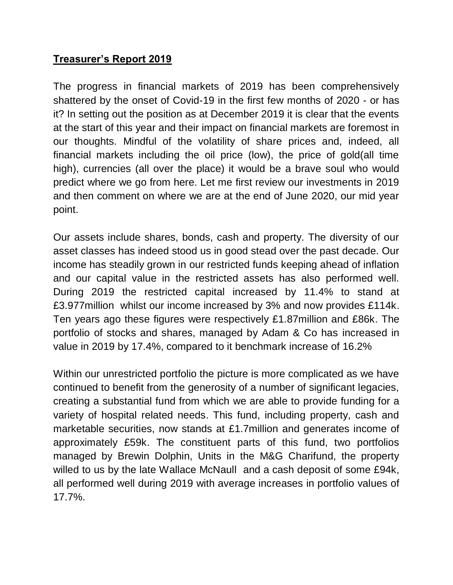## **Treasurer's Report 2019**

The progress in financial markets of 2019 has been comprehensively shattered by the onset of Covid-19 in the first few months of 2020 - or has it? In setting out the position as at December 2019 it is clear that the events at the start of this year and their impact on financial markets are foremost in our thoughts. Mindful of the volatility of share prices and, indeed, all financial markets including the oil price (low), the price of gold(all time high), currencies (all over the place) it would be a brave soul who would predict where we go from here. Let me first review our investments in 2019 and then comment on where we are at the end of June 2020, our mid year point.

Our assets include shares, bonds, cash and property. The diversity of our asset classes has indeed stood us in good stead over the past decade. Our income has steadily grown in our restricted funds keeping ahead of inflation and our capital value in the restricted assets has also performed well. During 2019 the restricted capital increased by 11.4% to stand at £3.977million whilst our income increased by 3% and now provides £114k. Ten years ago these figures were respectively £1.87million and £86k. The portfolio of stocks and shares, managed by Adam & Co has increased in value in 2019 by 17.4%, compared to it benchmark increase of 16.2%

Within our unrestricted portfolio the picture is more complicated as we have continued to benefit from the generosity of a number of significant legacies, creating a substantial fund from which we are able to provide funding for a variety of hospital related needs. This fund, including property, cash and marketable securities, now stands at £1.7million and generates income of approximately £59k. The constituent parts of this fund, two portfolios managed by Brewin Dolphin, Units in the M&G Charifund, the property willed to us by the late Wallace McNaull and a cash deposit of some £94k, all performed well during 2019 with average increases in portfolio values of 17.7%.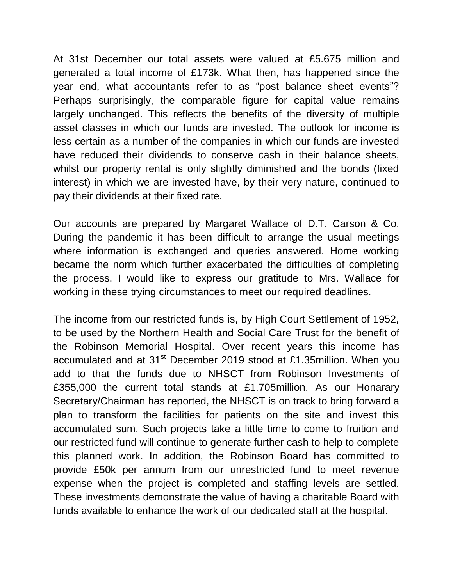At 31st December our total assets were valued at £5.675 million and generated a total income of £173k. What then, has happened since the year end, what accountants refer to as "post balance sheet events"? Perhaps surprisingly, the comparable figure for capital value remains largely unchanged. This reflects the benefits of the diversity of multiple asset classes in which our funds are invested. The outlook for income is less certain as a number of the companies in which our funds are invested have reduced their dividends to conserve cash in their balance sheets, whilst our property rental is only slightly diminished and the bonds (fixed interest) in which we are invested have, by their very nature, continued to pay their dividends at their fixed rate.

Our accounts are prepared by Margaret Wallace of D.T. Carson & Co. During the pandemic it has been difficult to arrange the usual meetings where information is exchanged and queries answered. Home working became the norm which further exacerbated the difficulties of completing the process. I would like to express our gratitude to Mrs. Wallace for working in these trying circumstances to meet our required deadlines.

The income from our restricted funds is, by High Court Settlement of 1952, to be used by the Northern Health and Social Care Trust for the benefit of the Robinson Memorial Hospital. Over recent years this income has accumulated and at 31<sup>st</sup> December 2019 stood at £1.35million. When you add to that the funds due to NHSCT from Robinson Investments of £355,000 the current total stands at £1.705million. As our Honarary Secretary/Chairman has reported, the NHSCT is on track to bring forward a plan to transform the facilities for patients on the site and invest this accumulated sum. Such projects take a little time to come to fruition and our restricted fund will continue to generate further cash to help to complete this planned work. In addition, the Robinson Board has committed to provide £50k per annum from our unrestricted fund to meet revenue expense when the project is completed and staffing levels are settled. These investments demonstrate the value of having a charitable Board with funds available to enhance the work of our dedicated staff at the hospital.